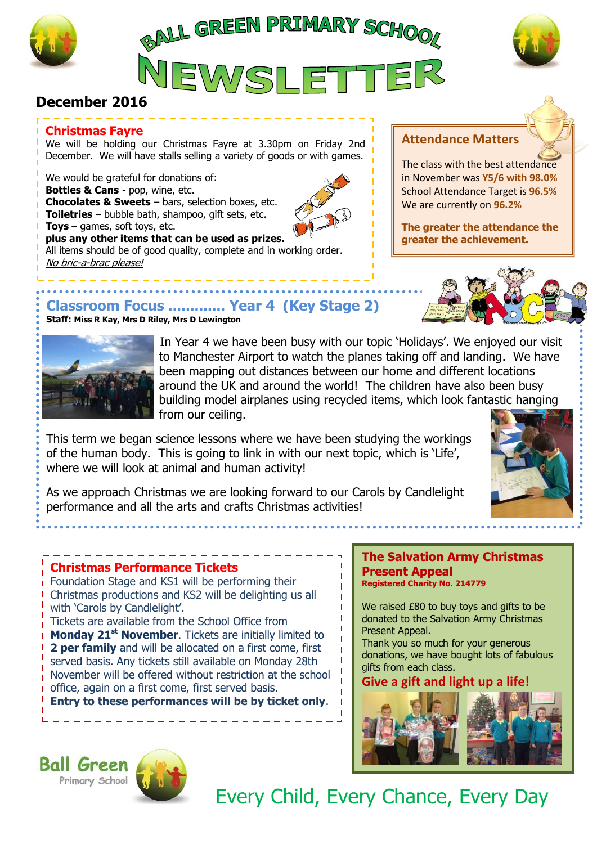

 $\ddot{\bullet}$ 

J





# **December 2016**

### **Christmas Fayre**

We will be holding our Christmas Fayre at 3.30pm on Friday 2nd December. We will have stalls selling a variety of goods or with games.

We would be grateful for donations of: **Bottles & Cans** - pop, wine, etc. **Chocolates & Sweets** – bars, selection boxes, etc. **Toiletries** – bubble bath, shampoo, gift sets, etc. **Toys** – games, soft toys, etc. **plus any other items that can be used as prizes.**

All items should be of good quality, complete and in working order. No bric-a-brac please!

# **Attendance Matters**

The class with the best attendance in November was **Y5/6 with 98.0%** School Attendance Target is **96.5%** We are currently on **96.2%**

**The greater the attendance the greater the achievement.**



# **Classroom Focus ............. Year 4 (Key Stage 2)**

**Staff: Miss R Kay, Mrs D Riley, Mrs D Lewington**



 In Year 4 we have been busy with our topic 'Holidays'. We enjoyed our visit to Manchester Airport to watch the planes taking off and landing. We have been mapping out distances between our home and different locations around the UK and around the world! The children have also been busy building model airplanes using recycled items, which look fantastic hanging from our ceiling.

This term we began science lessons where we have been studying the workings of the human body. This is going to link in with our next topic, which is 'Life', where we will look at animal and human activity!



As we approach Christmas we are looking forward to our Carols by Candlelight performance and all the arts and crafts Christmas activities!

## **Christmas Performance Tickets**

Foundation Stage and KS1 will be performing their **Christmas productions and KS2 will be delighting us all** with 'Carols by Candlelight'.

Tickets are available from the School Office from **Monday 21 st November**. Tickets are initially limited to **2 per family** and will be allocated on a first come, first served basis. Any tickets still available on Monday 28th November will be offered without restriction at the school office, again on a first come, first served basis.

**Entry to these performances will be by ticket only**.

#### **The Salvation Army Christmas Present Appeal Registered Charity No. 214779**

We raised £80 to buy toys and gifts to be donated to the Salvation Army Christmas Present Appeal.

Thank you so much for your generous donations, we have bought lots of fabulous gifts from each class.

### **Give a gift and light up a life!**



**Ball Green** Primary School



Every Child, Every Chance, Every Day